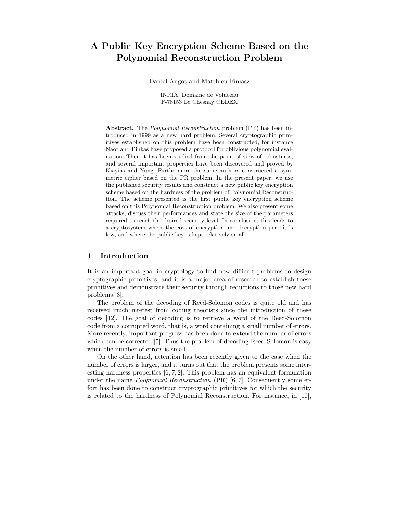# A Public Key Encryption Scheme Based on the Polynomial Reconstruction Problem

Daniel Augot and Matthieu Finiasz

INRIA, Domaine de Voluceau F-78153 Le Chesnay CEDEX

Abstract. The Polynomial Reconstruction problem (PR) has been introduced in 1999 as a new hard problem. Several cryptographic primitives established on this problem have been constructed, for instance Naor and Pinkas have proposed a protocol for oblivious polynomial evaluation. Then it has been studied from the point of view of robustness, and several important properties have been discovered and proved by Kiayias and Yung. Furthermore the same authors constructed a symmetric cipher based on the PR problem. In the present paper, we use the published security results and construct a new public key encryption scheme based on the hardness of the problem of Polynomial Reconstruction. The scheme presented is the first public key encryption scheme based on this Polynomial Reconstruction problem. We also present some attacks, discuss their performances and state the size of the parameters required to reach the desired security level. In conclusion, this leads to a cryptosystem where the cost of encryption and decryption per bit is low, and where the public key is kept relatively small.

# 1 Introduction

It is an important goal in cryptology to find new difficult problems to design cryptographic primitives, and it is a major area of research to establish these primitives and demonstrate their security through reductions to those new hard problems [3].

The problem of the decoding of Reed-Solomon codes is quite old and has received much interest from coding theorists since the introduction of these codes [12]. The goal of decoding is to retrieve a word of the Reed-Solomon code from a corrupted word, that is, a word containing a small number of errors. More recently, important progress has been done to extend the number of errors which can be corrected [5]. Thus the problem of decoding Reed-Solomon is easy when the number of errors is small.

On the other hand, attention has been recently given to the case when the number of errors is larger, and it turns out that the problem presents some interesting hardness properties [6, 7, 2]. This problem has an equivalent formulation under the name *Polynomial Reconstruction*  $(PR)$  [6, 7]. Consequently some effort has been done to construct cryptographic primitives for which the security is related to the hardness of Polynomial Reconstruction. For instance, in [10],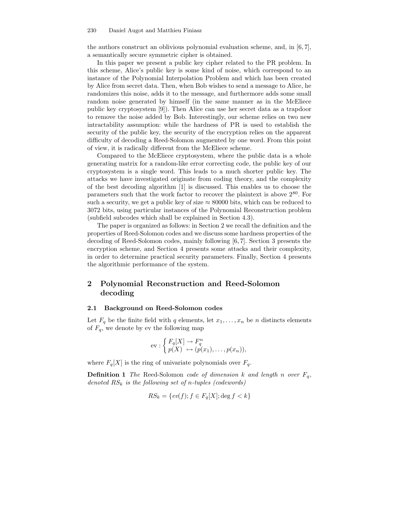the authors construct an oblivious polynomial evaluation scheme, and, in  $[6, 7]$ , a semantically secure symmetric cipher is obtained.

In this paper we present a public key cipher related to the PR problem. In this scheme, Alice's public key is some kind of noise, which correspond to an instance of the Polynomial Interpolation Problem and which has been created by Alice from secret data. Then, when Bob wishes to send a message to Alice, he randomizes this noise, adds it to the message, and furthermore adds some small random noise generated by himself (in the same manner as in the McEliece public key cryptosystem [9]). Then Alice can use her secret data as a trapdoor to remove the noise added by Bob. Interestingly, our scheme relies on two new intractability assumption: while the hardness of PR is used to establish the security of the public key, the security of the encryption relies on the apparent difficulty of decoding a Reed-Solomon augmented by one word. From this point of view, it is radically different from the McEliece scheme.

Compared to the McEliece cryptosystem, where the public data is a whole generating matrix for a random-like error correcting code, the public key of our cryptosystem is a single word. This leads to a much shorter public key. The attacks we have investigated originate from coding theory, and the complexity of the best decoding algorithm [1] is discussed. This enables us to choose the parameters such that the work factor to recover the plaintext is above 2 80 . For such a security, we get a public key of size  $\approx 80000$  bits, which can be reduced to 3072 bits, using particular instances of the Polynomial Reconstruction problem (subfield subcodes which shall be explained in Section 4.3).

The paper is organized as follows: in Section 2 we recall the definition and the properties of Reed-Solomon codes and we discuss some hardness properties of the decoding of Reed-Solomon codes, mainly following [6, 7]. Section 3 presents the encryption scheme, and Section 4 presents some attacks and their complexity, in order to determine practical security parameters. Finally, Section 4 presents the algorithmic performance of the system.

# 2 Polynomial Reconstruction and Reed-Solomon decoding

#### 2.1 Background on Reed-Solomon codes

Let  $F_q$  be the finite field with q elements, let  $x_1, \ldots, x_n$  be n distincts elements of  $F_q$ , we denote by ev the following map

$$
\text{ev}: \begin{cases} F_q[X] \to F_q^n \\ p(X) \mapsto (p(x_1), \dots, p(x_n)), \end{cases}
$$

where  $F_q[X]$  is the ring of univariate polynomials over  $F_q$ .

**Definition 1** The Reed-Solomon code of dimension k and length n over  $F_q$ , denoted  $RS_k$  is the following set of n-tuples (codewords)

$$
RS_k = \{ev(f); f \in F_q[X]; \deg f < k\}
$$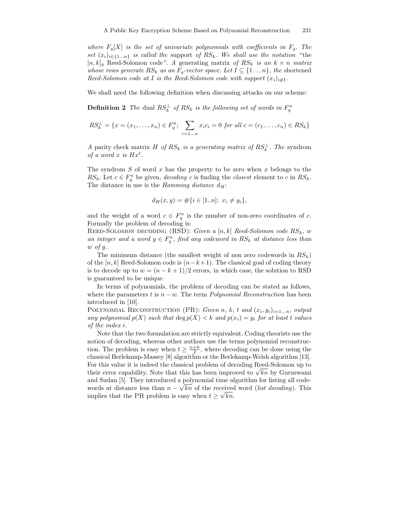where  $F_q[X]$  is the set of univariate polynomials with coefficients in  $F_q$ . The set  $(x_i)_{i\in\{1...n\}}$  is called the support of RS<sub>k</sub>. We shall use the notation "the  $[n, k]_q$  Reed-Solomon code". A generating matrix of  $RS_k$  is an  $k \times n$  matrix whose rows generate  $RS_k$  as an  $F_q$ -vector space. Let  $I \subseteq \{1 \dots n\}$ , the shortened Reed-Solomon code at I is the Reed-Solomon code with support  $(x_i)_{i \notin I}$ .

We shall need the following definition when discussing attacks on our scheme:

**Definition 2** The dual  $RS_k^{\perp}$  of  $RS_k$  is the following set of words in  $F_q^n$ 

$$
RS_k^{\perp} = \{x = (x_1, \dots, x_n) \in F_q^n; \sum_{i=1...n} x_i c_i = 0 \text{ for all } c = (c_1, \dots, c_n) \in RS_k\}
$$

A parity check matrix H of  $RS_k$  is a generating matrix of  $RS_k^{\perp}$ . The syndrom of a word x is  $Hx^t$ .

The syndrom  $S$  of word  $x$  has the property to be zero when  $x$  belongs to the  $RS_k$ . Let  $c \in F_q^n$  be given, *decoding* c is finding the closest element to c in  $RS_k$ . The distance in use is the *Hamming distance*  $d_H$ :

$$
d_H(x,y) = \#\{i \in [1..n]; \ x_i \neq y_i\},\
$$

and the weight of a word  $c \in F_q^n$  is the number of non-zero coordinates of c. Formally the problem of decoding is:

REED-SOLOMON DECODING (RSD): Given a  $[n, k]$  Reed-Solomon code  $RS_k$ , w an integer and a word  $y \in F_q^n$ , find any codeword in  $RS_k$  at distance less than w of y.

The minimum distance (the smallest weight of non zero codewords in  $RS_k$ ) of the [n, k] Reed-Solomon code is  $(n-k+1)$ . The classical goal of coding theory is to decode up to  $w = (n - k + 1)/2$  errors, in which case, the solution to RSD is guaranteed to be unique.

In terms of polynomials, the problem of decoding can be stated as follows, where the parameters t is  $n - w$ . The term *Polynomial Reconstruction* has been introduced in [10].

POLYNOMIAL RECONSTRUCTION (PR): Given n, k, t and  $(x_i, y_i)_{i=1...n}$ , output any polynomial  $p(X)$  such that  $\deg p(X) < k$  and  $p(x_i) = y_i$  for at least t values of the index i.

Note that the two formulation are strictly equivalent. Coding theorists use the notion of decoding, whereas other authors use the terms polynomial reconstruction. The problem is easy when  $t \geq \frac{n+k}{2}$ , where decoding can be done using the classical Berlekamp-Massey [8] algorithm or the Berlekamp-Welsh algorithm [13]. For this value it is indeed the classical problem of decoding Reed-Solomon up to their error capability. Note that this has been improved to  $\sqrt{kn}$  by Guruswami and Sudan [5]. They introduced a polynomial time algorithm for listing all codewords at distance less than  $n - \sqrt{kn}$  of the received word (*list decoding*). This implies that the PR problem is easy when  $t \geq \sqrt{kn}$ .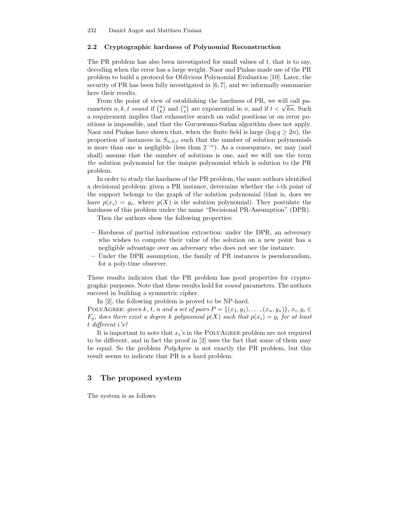#### 2.2 Cryptographic hardness of Polynomial Reconstruction

The PR problem has also been investigated for small values of  $t$ , that is to say, decoding when the error has a large weight. Naor and Pinkas made use of the PR problem to build a protocol for Oblivious Polynomial Evaluation [10]. Later, the security of PR has been fully investigated in  $[6, 7]$ , and we informally summarize here their results.

From the point of view of establishing the hardness of PR, we will call pa-From the point of the are exponential in n, and if  $t < \sqrt{kn}$ . Such rameters n, k, t sound if  $\binom{n}{k}$  and  $\binom{n}{t}$  are exponential in n, and if  $t < \sqrt{kn}$ . Such a requirement implies that exhaustive search on valid positions or on error positions is impossible, and that the Guruswami-Sudan algorithm does not apply. Naor and Pinkas have shown that, when the finite field is large ( $log q \ge 2n$ ), the proportion of instances in  $S_{n,k,t}$  such that the number of solution polynomials is more than one is negligible (less than  $2^{-n}$ ). As a consequence, we may (and shall) assume that the number of solutions is one, and we will use the term the solution polynomial for the unique polynomial which is solution to the PR problem.

In order to study the hardness of the PR problem, the same authors identified a decisional problem: given a PR instance, determine whether the i-th point of the support belongs to the graph of the solution polynomial (that is, does we have  $p(x_i) = y_i$ , where  $p(X)$  is the solution polynomial). They postulate the hardness of this problem under the name "Decisional PR-Assumption" (DPR).

Then the authors show the following properties:

- Hardness of partial information extraction: under the DPR, an adversary who wishes to compute their value of the solution on a new point has a negligible advantage over an adversary who does not see the instance.
- Under the DPR assumption, the family of PR instances is pseudorandom, for a poly-time observer.

These results indicates that the PR problem has good properties for cryptographic purposes. Note that these results hold for sound parameters. The authors succeed in building a symmetric cipher.

In [2], the following problem is proved to be NP-hard.

POLYAGREE: given k, t, n and a set of pairs  $P = \{(x_1, y_1), \ldots, (x_n, y_n)\}, x_i, y_i \in$  $F_q$ , does there exist a degree k polynomial  $p(X)$  such that  $p(x_i) = y_i$  for at least t different i's?

It is important to note that  $x_i$ 's in the POLYAGREE problem are not required to be different, and in fact the proof in [2] uses the fact that some of them may be equal. So the problem PolyAgree is not exactly the PR problem, but this result seems to indicate that PR is a hard problem.

# 3 The proposed system

The system is as follows.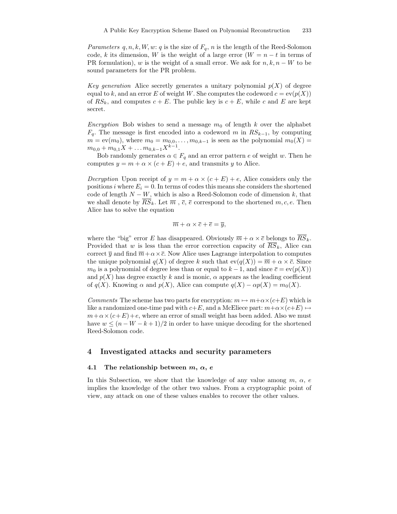Parameters q, n, k, W, w: q is the size of  $F_q$ , n is the length of the Reed-Solomon code, k its dimension, W is the weight of a large error  $(W = n - t$  in terms of PR formulation), w is the weight of a small error. We ask for  $n, k, n - W$  to be sound parameters for the PR problem.

Key generation Alice secretly generates a unitary polynomial  $p(X)$  of degree equal to k, and an error E of weight W. She computes the codeword  $c = \text{ev}(p(X))$ of  $RS_k$ , and computes  $c + E$ . The public key is  $c + E$ , while c and E are kept secret.

Encryption Bob wishes to send a message  $m_0$  of length k over the alphabet  $F_q$ . The message is first encoded into a codeword m in  $RS_{k-1}$ , by computing  $m = \text{ev}(m_0)$ , where  $m_0 = m_{0,0}, \ldots, m_{0,k-1}$  is seen as the polynomial  $m_0(X) =$  $m_{0,0} + m_{0,1}X + \ldots m_{0,k-1}X^{k-1}.$ 

Bob randomly generates  $\alpha \in F_q$  and an error pattern e of weight w. Then he computes  $y = m + \alpha \times (c + E) + e$ , and transmits y to Alice.

Decryption Upon receipt of  $y = m + \alpha \times (c + E) + e$ , Alice considers only the positions i where  $E_i = 0$ . In terms of codes this means she considers the shortened code of length  $N - W$ , which is also a Reed-Solomon code of dimension  $k$ , that we shall denote by  $RS_k$ . Let  $\overline{m}$ ,  $\overline{c}$ ,  $\overline{e}$  correspond to the shortened  $m, c, e$ . Then Alice has to solve the equation

$$
\overline{m} + \alpha \times \overline{c} + \overline{e} = \overline{y},
$$

where the "big" error E has disappeared. Obviously  $\overline{m} + \alpha \times \overline{c}$  belongs to  $\overline{RS}_k$ . Provided that w is less than the error correction capacity of  $\overline{RS}_k$ , Alice can correct  $\overline{y}$  and find  $\overline{m} + \alpha \times \overline{c}$ . Now Alice uses Lagrange interpolation to computes the unique polynomial  $q(X)$  of degree k such that  $ev(q(X)) = \overline{m} + \alpha \times \overline{c}$ . Since  $m_0$  is a polynomial of degree less than or equal to  $k-1$ , and since  $\overline{c} = \text{ev}(p(X))$ and  $p(X)$  has degree exactly k and is monic,  $\alpha$  appears as the leading coefficient of  $q(X)$ . Knowing  $\alpha$  and  $p(X)$ , Alice can compute  $q(X) - \alpha p(X) = m_0(X)$ .

Comments The scheme has two parts for encryption:  $m \mapsto m+\alpha \times (c+E)$  which is like a randomized one-time pad with  $c+E$ , and a McEliece part:  $m+\alpha \times (c+E) \mapsto$  $m+\alpha \times (c+E)+e$ , where an error of small weight has been added. Also we must have  $w \leq (n - W - k + 1)/2$  in order to have unique decoding for the shortened Reed-Solomon code.

# 4 Investigated attacks and security parameters

## 4.1 The relationship between  $m, \alpha, e$

In this Subsection, we show that the knowledge of any value among  $m, \alpha, e$ implies the knowledge of the other two values. From a cryptographic point of view, any attack on one of these values enables to recover the other values.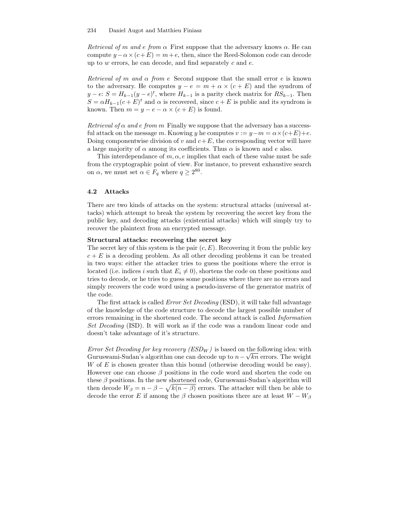Retrieval of m and e from  $\alpha$  First suppose that the adversary knows  $\alpha$ . He can compute  $y - \alpha \times (c + E) = m + e$ , then, since the Reed-Solomon code can decode up to  $w$  errors, he can decode, and find separately  $c$  and  $e$ .

Retrieval of m and  $\alpha$  from e Second suppose that the small error e is known to the adversary. He computes  $y - e = m + \alpha \times (c + E)$  and the syndrom of  $y - e: S = H_{k-1}(y - e)^t$ , where  $H_{k-1}$  is a parity check matrix for  $RS_{k-1}$ . Then  $S = \alpha H_{k-1}(c+E)^t$  and  $\alpha$  is recovered, since  $c+E$  is public and its syndrom is known. Then  $m = y - e - \alpha \times (c + E)$  is found.

Retrieval of  $\alpha$  and e from m Finally we suppose that the adversary has a successful attack on the message m. Knowing y he computes  $v := y - m = \alpha \times (c+E) + e$ . Doing componentwise division of v and  $c+E$ , the corresponding vector will have a large majority of  $\alpha$  among its coefficients. Thus  $\alpha$  is known and e also.

This interdependance of  $m, \alpha, e$  implies that each of these value must be safe from the cryptographic point of view. For instance, to prevent exhaustive search on  $\alpha$ , we must set  $\alpha \in F_q$  where  $q \geq 2^{80}$ .

#### 4.2 Attacks

There are two kinds of attacks on the system: structural attacks (universal attacks) which attempt to break the system by recovering the secret key from the public key, and decoding attacks (existential attacks) which will simply try to recover the plaintext from an encrypted message.

## Structural attacks: recovering the secret key

The secret key of this system is the pair  $(c, E)$ . Recovering it from the public key  $c + E$  is a decoding problem. As all other decoding problems it can be treated in two ways: either the attacker tries to guess the positions where the error is located (i.e. indices i such that  $E_i \neq 0$ ), shortens the code on these positions and tries to decode, or he tries to guess some positions where there are no errors and simply recovers the code word using a pseudo-inverse of the generator matrix of the code.

The first attack is called Error Set Decoding (ESD), it will take full advantage of the knowledge of the code structure to decode the largest possible number of errors remaining in the shortened code. The second attack is called Information Set Decoding (ISD). It will work as if the code was a random linear code and doesn't take advantage of it's structure.

Error Set Decoding for key recovery  $(ESD<sub>W</sub>)$  is based on the following idea: with Guruswami-Sudan's algorithm one can decode up to  $n - \sqrt{kn}$  errors. The weight W of  $E$  is chosen greater than this bound (otherwise decoding would be easy). However one can choose  $\beta$  positions in the code word and shorten the code on these  $\beta$  positions. In the new shortened code, Guruswami-Sudan's algorithm will then decode  $W_{\beta} = n - \beta - \sqrt{k(n - \beta)}$  errors. The attacker will then be able to decode the error E if among the  $\beta$  chosen positions there are at least  $W - W_{\beta}$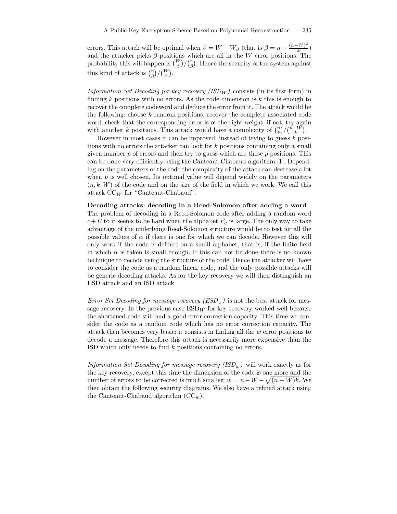errors. This attack will be optimal when  $\beta = W - W_{\beta}$  (that is  $\beta = n - \frac{(n-W)^2}{k}$  $\frac{W}{k}$ ) and the attacker picks  $\beta$  positions which are all in the W error positions. The probability this will happen is  $\binom{W}{\beta} / \binom{n}{\beta}$ . Hence the security of the system against this kind of attack is  $\binom{n}{\beta} / \binom{W}{\beta}$ .

Information Set Decoding for key recovery  $(ISD_W)$  consists (in its first form) in finding k positions with no errors. As the code dimension is  $k$  this is enough to recover the complete codeword and deduce the error from it. The attack would be the following: choose  $k$  random positions, recover the complete associated code word, check that the corresponding error is of the right weight, if not, try again with another k positions. This attack would have a complexity of  $\binom{n}{k} / \binom{n-W}{k}$ .

However in most cases it can be improved: instead of trying to guess  $k$  positions with no errors the attacker can look for  $k$  positions containing only a small given number  $p$  of errors and then try to guess which are these  $p$  positions. This can be done very efficiently using the Canteaut-Chabaud algorithm [1]. Depending on the parameters of the code the complexity of the attack can decrease a lot when  $p$  is well chosen. Its optimal value will depend widely on the parameters  $(n, k, W)$  of the code and on the size of the field in which we work. We call this attack $\mathrm{CC}_W$  for "Canteaut-Chabaud".

Decoding attacks: decoding in a Reed-Solomon after adding a word

The problem of decoding in a Reed-Solomon code after adding a random word  $c+E$  to it seems to be hard when the alphabet  $F_q$  is large. The only way to take advantage of the underlying Reed-Solomon structure would be to test for all the possible values of  $\alpha$  if there is one for which we can decode. However this will only work if the code is defined on a small alphabet, that is, if the finite field in which  $\alpha$  is taken is small enough. If this can not be done there is no known technique to decode using the structure of the code. Hence the attacker will have to consider the code as a random linear code, and the only possible attacks will be generic decoding attacks. As for the key recovery we will then distinguish an ESD attack and an ISD attack.

Error Set Decoding for message recovery  $(ESD_w)$  is not the best attack for message recovery. In the previous case  $ESD_W$  for key recovery worked well because the shortened code still had a good error correction capacity. This time we consider the code as a random code which has no error correction capacity. The attack then becomes very basic: it consists in finding all the w error positions to decode a message. Therefore this attack is necessarily more expensive than the ISD which only needs to find k positions containing no errors.

Information Set Decoding for message recovery  $(ISD_w)$  will work exactly as for the key recovery, except this time the dimension of the code is one more and the number of errors to be corrected is much smaller:  $w = n - W - \sqrt{(n - W)k}$ . We then obtain the following security diagrams. We also have a refined attack using the Canteaut-Chabaud algorithm  $(CC_w)$ .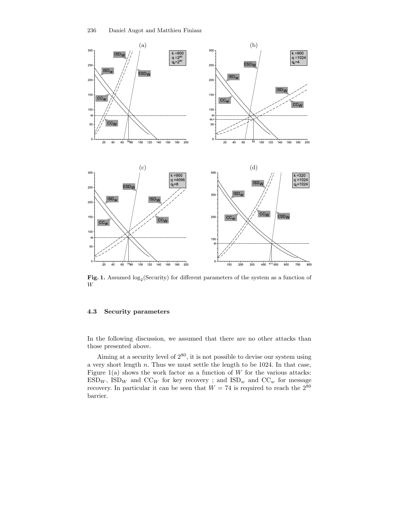

Fig. 1. Assumed  $log_2$  (Security) for different parameters of the system as a function of W

#### 4.3 Security parameters

In the following discussion, we assumed that there are no other attacks than those presented above.

Aiming at a security level of 2 80 , it is not possible to devise our system using a very short length  $n$ . Thus we must settle the length to be 1024. In that case, Figure  $1(a)$  shows the work factor as a function of W for the various attacks:  $ESD_W$ ,  $ISD_W$  and  $CC_W$  for key recovery ; and  $ISD_w$  and  $CC_w$  for message recovery. In particular it can be seen that  $W = 74$  is required to reach the  $2^{80}$ barrier.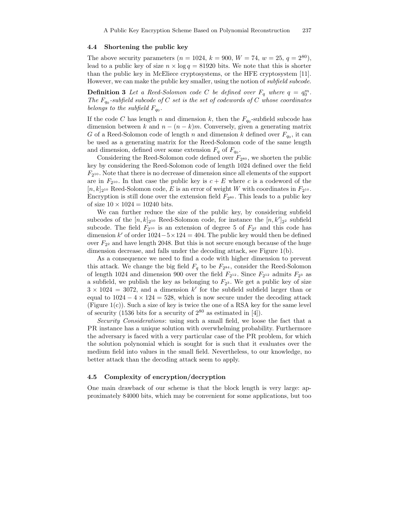#### 4.4 Shortening the public key

The above security parameters  $(n = 1024, k = 900, W = 74, w = 25, q = 2^{80}),$ lead to a public key of size  $n \times \log q = 81920$  bits. We note that this is shorter than the public key in McEliece cryptosystems, or the HFE cryptosystem [11]. However, we can make the public key smaller, using the notion of *subfield subcode*.

**Definition 3** Let a Reed-Solomon code C be defined over  $F_q$  where  $q = q_0^m$ . The  $F_{q_0}$ -subfield subcode of C set is the set of codewords of C whose coordinates belongs to the subfield  $F_{q_0}$ .

If the code C has length n and dimension k, then the  $F_{q_0}$ -subfield subcode has dimension between k and  $n - (n - k)m$ . Conversely, given a generating matrix G of a Reed-Solomon code of length n and dimension k defined over  $F_{q_0}$ , it can be used as a generating matrix for the Reed-Solomon code of the same length and dimension, defined over some extension  $F_q$  of  $F_{q_0}$ .

Considering the Reed-Solomon code defined over  $F_{2^{80}}$ , we shorten the public key by considering the Reed-Solomon code of length 1024 defined over the field F2 <sup>10</sup> . Note that there is no decrease of dimension since all elements of the support are in  $F_{2^{10}}$ . In that case the public key is  $c + E$  where c is a codeword of the  $[n, k]$ <sub>210</sub> Reed-Solomon code, E is an error of weight W with coordinates in  $F$ <sub>210</sub>. Encryption is still done over the extension field  $F_{2^{80}}$ . This leads to a public key of size  $10 \times 1024 = 10240$  bits.

We can further reduce the size of the public key, by considering subfield subcodes of the  $[n, k]$ <sup>210</sup> Reed-Solomon code, for instance the  $[n, k']$ <sup>22</sup> subfield subcode. The field  $F_{2^{10}}$  is an extension of degree 5 of  $F_{2^2}$  and this code has dimension k' of order  $1024 - 5 \times 124 = 404$ . The public key would then be defined over  $F_{2^2}$  and have length 2048. But this is not secure enough because of the huge dimension decrease, and falls under the decoding attack, see Figure 1(b).

As a consequence we need to find a code with higher dimension to prevent this attack. We change the big field  $F_q$  to be  $F_{2^{84}}$ , consider the Reed-Solomon of length 1024 and dimension 900 over the field  $F_{2^{12}}$ . Since  $F_{2^{12}}$  admits  $F_{2^3}$  as a subfield, we publish the key as belonging to  $F_{2^3}$ . We get a public key of size  $3 \times 1024 = 3072$ , and a dimension k' for the subfield subfield larger than or equal to  $1024 - 4 \times 124 = 528$ , which is now secure under the decoding attack (Figure  $1(c)$ ). Such a size of key is twice the one of a RSA key for the same level of security (1536 bits for a security of  $2^{80}$  as estimated in [4]).

Security Considerations: using such a small field, we loose the fact that a PR instance has a unique solution with overwhelming probability. Furthermore the adversary is faced with a very particular case of the PR problem, for which the solution polynomial which is sought for is such that it evaluates over the medium field into values in the small field. Nevertheless, to our knowledge, no better attack than the decoding attack seem to apply.

### 4.5 Complexity of encryption/decryption

One main drawback of our scheme is that the block length is very large: approximately 84000 bits, which may be convenient for some applications, but too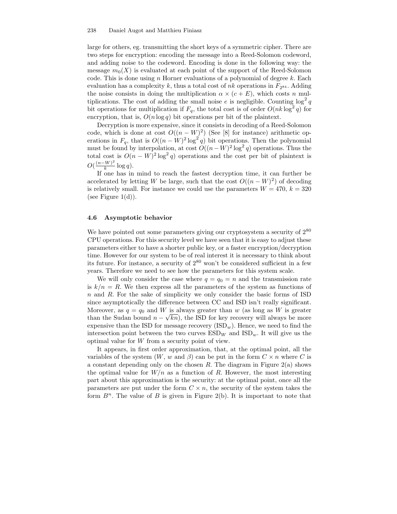large for others, eg. transmitting the short keys of a symmetric cipher. There are two steps for encryption: encoding the message into a Reed-Solomon codeword, and adding noise to the codeword. Encoding is done in the following way: the message  $m_0(X)$  is evaluated at each point of the support of the Reed-Solomon code. This is done using  $n$  Horner evaluations of a polynomial of degree  $k$ . Each evaluation has a complexity k, thus a total cost of  $nk$  operations in  $F_{2^{84}}$ . Adding the noise consists in doing the multiplication  $\alpha \times (c+E)$ , which costs n multiplications. The cost of adding the small noise e is negligible. Counting  $\log^2 q$ bit operations for multiplication if  $F_q$ , the total cost is of order  $O(nk \log^2 q)$  for encryption, that is,  $O(n \log q)$  bit operations per bit of the plaintext.

Decryption is more expensive, since it consists in decoding of a Reed-Solomon code, which is done at cost  $O((n-W)^2)$  (See [8] for instance) arithmetic operations in  $F_q$ , that is  $O((n-W)^2 \log^2 q)$  bit operations. Then the polynomial must be found by interpolation, at cost  $O((n-W)^2 \log^2 q)$  operations. Thus the total cost is  $O(n - W)^2 \log^2 q$  operations and the cost per bit of plaintext is  $O(\frac{(n-W)^2}{k})$  $\frac{W}{k} \log q$ .

If one has in mind to reach the fastest decryption time, it can further be accelerated by letting W be large, such that the cost  $O((n - W)^2)$  of decoding is relatively small. For instance we could use the parameters  $W = 470, k = 320$ (see Figure  $1(d)$ ).

### 4.6 Asymptotic behavior

We have pointed out some parameters giving our cryptosystem a security of  $2^{80}$ CPU operations. For this security level we have seen that it is easy to adjust these parameters either to have a shorter public key, or a faster encryption/decryption time. However for our system to be of real interest it is necessary to think about its future. For instance, a security of 2 <sup>80</sup> won't be considered sufficient in a few years. Therefore we need to see how the parameters for this system scale.

We will only consider the case where  $q = q_0 = n$  and the transmission rate is  $k/n = R$ . We then express all the parameters of the system as functions of n and R. For the sake of simplicity we only consider the basic forms of ISD since asymptotically the difference between CC and ISD isn't really significant. Moreover, as  $q = q_0$  and W is always greater than w (as long as W is greater than the Sudan bound  $n - \sqrt{kn}$ , the ISD for key recovery will always be more expensive than the ISD for message recovery  $(ISD_w)$ . Hence, we need to find the intersection point between the two curves  $\text{ESD}_W$  and  $\text{ISD}_w$ . It will give us the optimal value for W from a security point of view.

It appears, in first order approximation, that, at the optimal point, all the variables of the system  $(W, w \text{ and } \beta)$  can be put in the form  $C \times n$  where C is a constant depending only on the chosen R. The diagram in Figure  $2(a)$  shows the optimal value for  $W/n$  as a function of R. However, the most interesting part about this approximation is the security: at the optimal point, once all the parameters are put under the form  $C \times n$ , the security of the system takes the form  $B<sup>n</sup>$ . The value of B is given in Figure 2(b). It is important to note that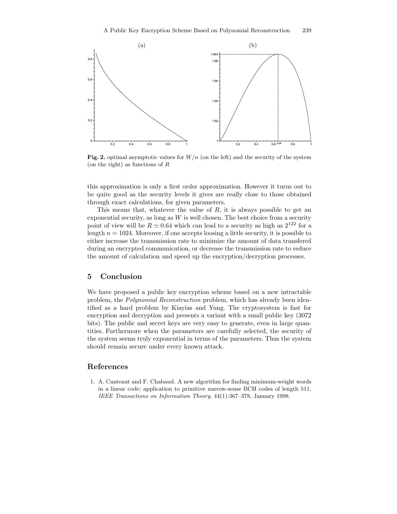

Fig. 2. optimal asymptotic values for  $W/n$  (on the left) and the security of the system (on the right) as functions of  $R$ 

this approximation is only a first order approximation. However it turns out to be quite good as the security levels it gives are really close to those obtained through exact calculations, for given parameters.

This means that, whatever the value of  $R$ , it is always possible to get an exponential security, as long as  $W$  is well chosen. The best choice from a security point of view will be  $R \simeq 0.64$  which can lead to a security as high as  $2^{122}$  for a length  $n = 1024$ . Moreover, if one accepts loosing a little security, it is possible to either increase the transmission rate to minimize the amount of data transfered during an encrypted communication, or decrease the transmission rate to reduce the amount of calculation and speed up the encryption/decryption processes.

## 5 Conclusion

We have proposed a public key encryption scheme based on a new intractable problem, the *Polynomial Reconstruction* problem, which has already been identified as a hard problem by Kiayias and Yung. The cryptosystem is fast for encryption and decryption and presents a variant with a small public key (3072 bits). The public and secret keys are very easy to generate, even in large quantities. Furthermore when the parameters are carefully selected, the security of the system seems truly exponential in terms of the parameters. Thus the system should remain secure under every known attack.

## References

1. A. Canteaut and F. Chabaud. A new algorithm for finding minimum-weight words in a linear code: application to primitive narrow-sense BCH codes of length 511. IEEE Transactions on Information Theory, 44(1):367–378, January 1998.